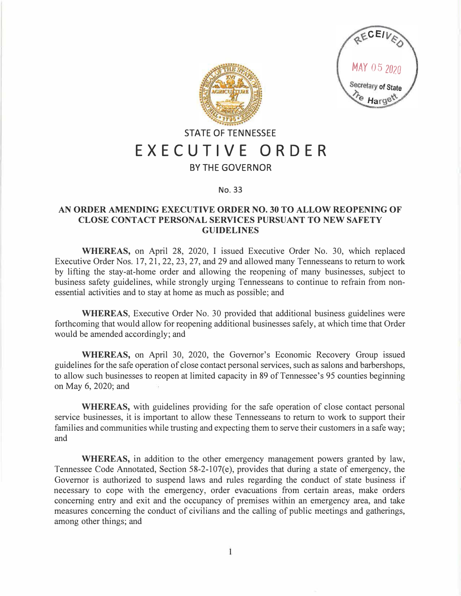



## **STATE OF TENNESSEE EXECUTIVE ORDER**

## **BY THE GOVERNOR**

## **No. 33**

## **AN ORDER AMENDING EXECUTIVE ORDER NO. 30 TO ALLOW REOPENING OF CLOSE CONTACT PERSONAL SERVICES PURSUANT TO NEW SAFETY GUIDELINES**

**WHEREAS,** on April 28, 2020, I issued Executive Order No. 30, which replaced Executive Order Nos. 17, 21, 22, 23, 27, and 29 and allowed many Tennesseans to return to work by lifting the stay-at-home order and allowing the reopening of many businesses, subject to business safety guidelines, while strongly urging Tennesseans to continue to refrain from nonessential activities and to stay at home as much as possible; and

**WHEREAS,** Executive Order No. 30 provided that additional business guidelines were forthcoming that would allow for reopening additional businesses safely, at which time that Order would be amended accordingly; and

**WHEREAS,** on April 30, 2020, the Governor's Economic Recovery Group issued guidelines for the safe operation of close contact personal services, such as salons and barbershops, to allow such businesses to reopen at limited capacity in 89 of Tennessee's 95 counties beginning on May 6, 2020; and

**WHEREAS,** with guidelines providing for the safe operation of close contact personal service businesses, it is important to allow these Tennesseans to return to work to support their families and communities while trusting and expecting them to serve their customers in a safe way; and

**WHEREAS,** in addition to the other emergency management powers granted by law, Tennessee Code Annotated, Section 58-2-107(e), provides that during a state of emergency, the Governor is authorized to suspend laws and rules regarding the conduct of state business if necessary to cope with the emergency, order evacuations from certain areas, make orders concerning entry and exit and the occupancy of premises within an emergency area, and take measures concerning the conduct of civilians and the calling of public meetings and gatherings, among other things; and